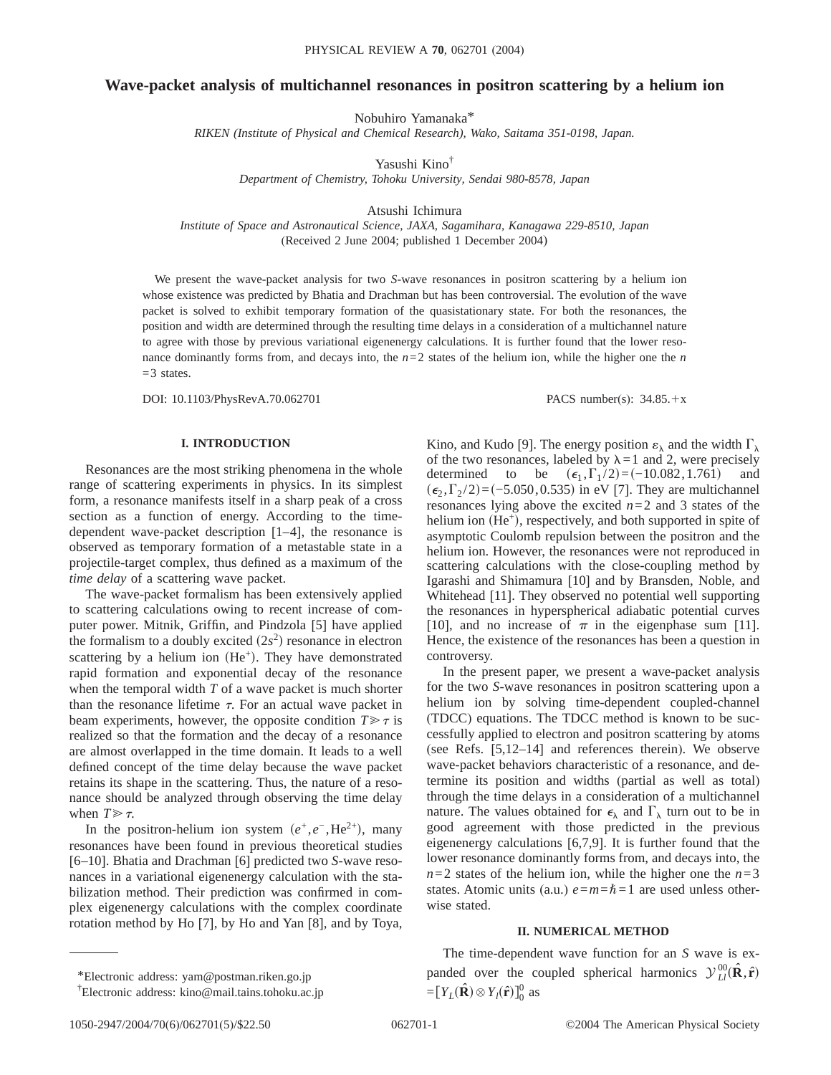# **Wave-packet analysis of multichannel resonances in positron scattering by a helium ion**

Nobuhiro Yamanaka\*

*RIKEN (Institute of Physical and Chemical Research), Wako, Saitama 351-0198, Japan.*

Yasushi Kino†

*Department of Chemistry, Tohoku University, Sendai 980-8578, Japan*

Atsushi Ichimura

*Institute of Space and Astronautical Science, JAXA, Sagamihara, Kanagawa 229-8510, Japan* (Received 2 June 2004; published 1 December 2004)

We present the wave-packet analysis for two *S*-wave resonances in positron scattering by a helium ion whose existence was predicted by Bhatia and Drachman but has been controversial. The evolution of the wave packet is solved to exhibit temporary formation of the quasistationary state. For both the resonances, the position and width are determined through the resulting time delays in a consideration of a multichannel nature to agree with those by previous variational eigenenergy calculations. It is further found that the lower resonance dominantly forms from, and decays into, the *n*=2 states of the helium ion, while the higher one the *n*  $=$  3 states.

DOI: 10.1103/PhysRevA.70.062701 PACS number(s): 34.85.+x

#### **I. INTRODUCTION**

Resonances are the most striking phenomena in the whole range of scattering experiments in physics. In its simplest form, a resonance manifests itself in a sharp peak of a cross section as a function of energy. According to the timedependent wave-packet description [1–4], the resonance is observed as temporary formation of a metastable state in a projectile-target complex, thus defined as a maximum of the *time delay* of a scattering wave packet.

The wave-packet formalism has been extensively applied to scattering calculations owing to recent increase of computer power. Mitnik, Griffin, and Pindzola [5] have applied the formalism to a doubly excited  $(2s^2)$  resonance in electron scattering by a helium ion  $(He<sup>+</sup>)$ . They have demonstrated rapid formation and exponential decay of the resonance when the temporal width *T* of a wave packet is much shorter than the resonance lifetime  $\tau$ . For an actual wave packet in beam experiments, however, the opposite condition  $T \gg \tau$  is realized so that the formation and the decay of a resonance are almost overlapped in the time domain. It leads to a well defined concept of the time delay because the wave packet retains its shape in the scattering. Thus, the nature of a resonance should be analyzed through observing the time delay when  $T \gg \tau$ .

In the positron-helium ion system  $(e^+, e^-, \text{He}^{2+})$ , many resonances have been found in previous theoretical studies [6–10]. Bhatia and Drachman [6] predicted two *S*-wave resonances in a variational eigenenergy calculation with the stabilization method. Their prediction was confirmed in complex eigenenergy calculations with the complex coordinate rotation method by Ho [7], by Ho and Yan [8], and by Toya,

In the present paper, we present a wave-packet analysis for the two *S*-wave resonances in positron scattering upon a helium ion by solving time-dependent coupled-channel (TDCC) equations. The TDCC method is known to be successfully applied to electron and positron scattering by atoms (see Refs. [5,12–14] and references therein). We observe wave-packet behaviors characteristic of a resonance, and determine its position and widths (partial as well as total) through the time delays in a consideration of a multichannel nature. The values obtained for  $\epsilon_{\lambda}$  and  $\Gamma_{\lambda}$  turn out to be in good agreement with those predicted in the previous eigenenergy calculations [6,7,9]. It is further found that the lower resonance dominantly forms from, and decays into, the  $n=2$  states of the helium ion, while the higher one the  $n=3$ states. Atomic units (a.u.)  $e = m = \hbar = 1$  are used unless otherwise stated.

### **II. NUMERICAL METHOD**

The time-dependent wave function for an *S* wave is expanded over the coupled spherical harmonics  $\mathcal{Y}^{00}_{LL}(\hat{\mathbf{R}}, \hat{\mathbf{r}})$  $=[Y_L(\hat{\mathbf{R}}) \otimes Y_l(\hat{\mathbf{r}})]_0^0$  as

Kino, and Kudo [9]. The energy position  $\varepsilon_{\lambda}$  and the width  $\Gamma_{\lambda}$ of the two resonances, labeled by  $\lambda = 1$  and 2, were precisely determined to be  $(\epsilon_1, \Gamma_1 / 2) = (-10.082, 1.761)$  and  $(\epsilon_2, \Gamma_2/2)$ = $(-5.050, 0.535)$  in eV [7]. They are multichannel resonances lying above the excited  $n=2$  and 3 states of the helium ion  $(He^+)$ , respectively, and both supported in spite of asymptotic Coulomb repulsion between the positron and the helium ion. However, the resonances were not reproduced in scattering calculations with the close-coupling method by Igarashi and Shimamura [10] and by Bransden, Noble, and Whitehead [11]. They observed no potential well supporting the resonances in hyperspherical adiabatic potential curves [10], and no increase of  $\pi$  in the eigenphase sum [11]. Hence, the existence of the resonances has been a question in controversy.

<sup>\*</sup>Electronic address: yam@postman.riken.go.jp

<sup>†</sup> Electronic address: kino@mail.tains.tohoku.ac.jp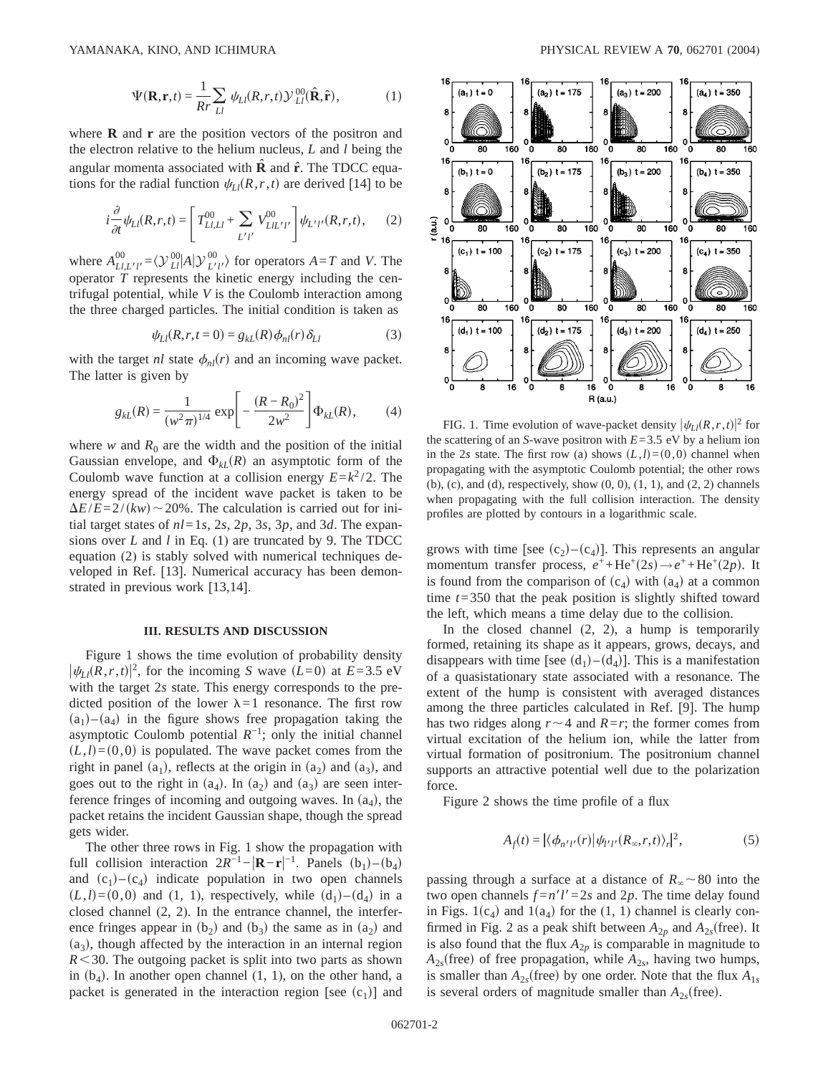$$
\Psi(\mathbf{R}, \mathbf{r}, t) = \frac{1}{Rr} \sum_{LI} \psi_{LI}(R, r, t) \mathcal{Y}_{LI}^{00}(\hat{\mathbf{R}}, \hat{\mathbf{r}}),
$$
 (1)

where **R** and **r** are the position vectors of the positron and the electron relative to the helium nucleus, *L* and *l* being the angular momenta associated with **R** and  $\hat{\bf{r}}$ . The TDCC equations for the radial function  $\psi_{Ll}(R, r, t)$  are derived [14] to be

$$
i\frac{\partial}{\partial t}\psi_{Ll}(R,r,t) = \left[T_{L1,Ll}^{00} + \sum_{L'l'} V_{LlL'l'}^{00} \right] \psi_{L'l'}(R,r,t), \quad (2)
$$

where  $A_{LL'l'}^{00} = \langle \mathcal{Y}_{L\vert}^{00} | A | \mathcal{Y}_{L'l'}^{00} \rangle$  for operators  $A = T$  and *V*. The operator *T* represents the kinetic energy including the centrifugal potential, while *V* is the Coulomb interaction among the three charged particles. The initial condition is taken as

$$
\psi_{Ll}(R,r,t=0) = g_{kL}(R)\phi_{nl}(r)\delta_{Ll} \tag{3}
$$

with the target *nl* state  $\phi_{nl}(r)$  and an incoming wave packet. The latter is given by

$$
g_{kL}(R) = \frac{1}{(w^2 \pi)^{1/4}} \exp \left[ -\frac{(R - R_0)^2}{2w^2} \right] \Phi_{kL}(R), \tag{4}
$$

where  $w$  and  $R_0$  are the width and the position of the initial Gaussian envelope, and  $\Phi_{k}(R)$  an asymptotic form of the Coulomb wave function at a collision energy  $E = k^2 / 2$ . The energy spread of the incident wave packet is taken to be  $\Delta E/E = 2/(kw) \sim 20\%$ . The calculation is carried out for initial target states of  $nl = 1s$ ,  $2s$ ,  $2p$ ,  $3s$ ,  $3p$ , and  $3d$ . The expansions over *L* and *l* in Eq. (1) are truncated by 9. The TDCC equation (2) is stably solved with numerical techniques developed in Ref. [13]. Numerical accuracy has been demonstrated in previous work [13,14].

#### **III. RESULTS AND DISCUSSION**

Figure 1 shows the time evolution of probability density  $|\psi_L(R, r, t)|^2$ , for the incoming *S* wave  $(L=0)$  at  $E=3.5$  eV with the target 2*s* state. This energy corresponds to the predicted position of the lower  $\lambda=1$  resonance. The first row  $(a_1)$ – $(a_4)$  in the figure shows free propagation taking the asymptotic Coulomb potential  $R^{-1}$ ; only the initial channel  $(L,l)=(0,0)$  is populated. The wave packet comes from the right in panel  $(a_1)$ , reflects at the origin in  $(a_2)$  and  $(a_3)$ , and goes out to the right in  $(a_4)$ . In  $(a_2)$  and  $(a_3)$  are seen interference fringes of incoming and outgoing waves. In  $(a_4)$ , the packet retains the incident Gaussian shape, though the spread gets wider.

The other three rows in Fig. 1 show the propagation with full collision interaction  $2R^{-1} - |\mathbf{R} - \mathbf{r}|^{-1}$ . Panels  $(b_1) - (b_4)$ and  $(c_1)$ – $(c_4)$  indicate population in two open channels  $(L,l)=(0,0)$  and  $(1, 1)$ , respectively, while  $(d_1)-(d_4)$  in a closed channel (2, 2). In the entrance channel, the interference fringes appear in  $(b_2)$  and  $(b_3)$  the same as in  $(a_2)$  and  $(a_3)$ , though affected by the interaction in an internal region  $R$   $\leq$  30. The outgoing packet is split into two parts as shown in  $(b_4)$ . In another open channel  $(1, 1)$ , on the other hand, a packet is generated in the interaction region [see  $(c_1)$ ] and



FIG. 1. Time evolution of wave-packet density  $|\psi_{Ll}(R,r,t)|^2$  for the scattering of an *S*-wave positron with  $E=3.5$  eV by a helium ion in the 2*s* state. The first row (a) shows  $(L, l) = (0, 0)$  channel when propagating with the asymptotic Coulomb potential; the other rows (b), (c), and (d), respectively, show (0, 0), (1, 1), and (2, 2) channels when propagating with the full collision interaction. The density profiles are plotted by contours in a logarithmic scale.

grows with time [see  $(c_2)$ – $(c_4)$ ]. This represents an angular momentum transfer process,  $e^+$ +He<sup>+</sup>(2*s*)  $\rightarrow$   $e^+$ +He<sup>+</sup>(2*p*). It is found from the comparison of  $(c_4)$  with  $(a_4)$  at a common time *t*=350 that the peak position is slightly shifted toward the left, which means a time delay due to the collision.

In the closed channel  $(2, 2)$ , a hump is temporarily formed, retaining its shape as it appears, grows, decays, and disappears with time [see  $(d_1)$ – $(d_4)$ ]. This is a manifestation of a quasistationary state associated with a resonance. The extent of the hump is consistent with averaged distances among the three particles calculated in Ref. [9]. The hump has two ridges along  $r \sim 4$  and  $R = r$ ; the former comes from virtual excitation of the helium ion, while the latter from virtual formation of positronium. The positronium channel supports an attractive potential well due to the polarization force.

Figure 2 shows the time profile of a flux

$$
A_f(t) = |\langle \phi_{n'l'}(r) | \psi_{l'l'}(R_{\infty}, r, t) \rangle_r|^2, \tag{5}
$$

passing through a surface at a distance of  $R_{\infty} \sim 80$  into the two open channels  $f = n'l' = 2s$  and 2p. The time delay found in Figs.  $1(c_4)$  and  $1(a_4)$  for the  $(1, 1)$  channel is clearly confirmed in Fig. 2 as a peak shift between  $A_{2p}$  and  $A_{2s}$ (free). It is also found that the flux  $A_{2p}$  is comparable in magnitude to  $A_{2s}$ (free) of free propagation, while  $A_{2s}$ , having two humps, is smaller than  $A_{2s}$ (free) by one order. Note that the flux  $A_{1s}$ is several orders of magnitude smaller than  $A_{2s}$ (free).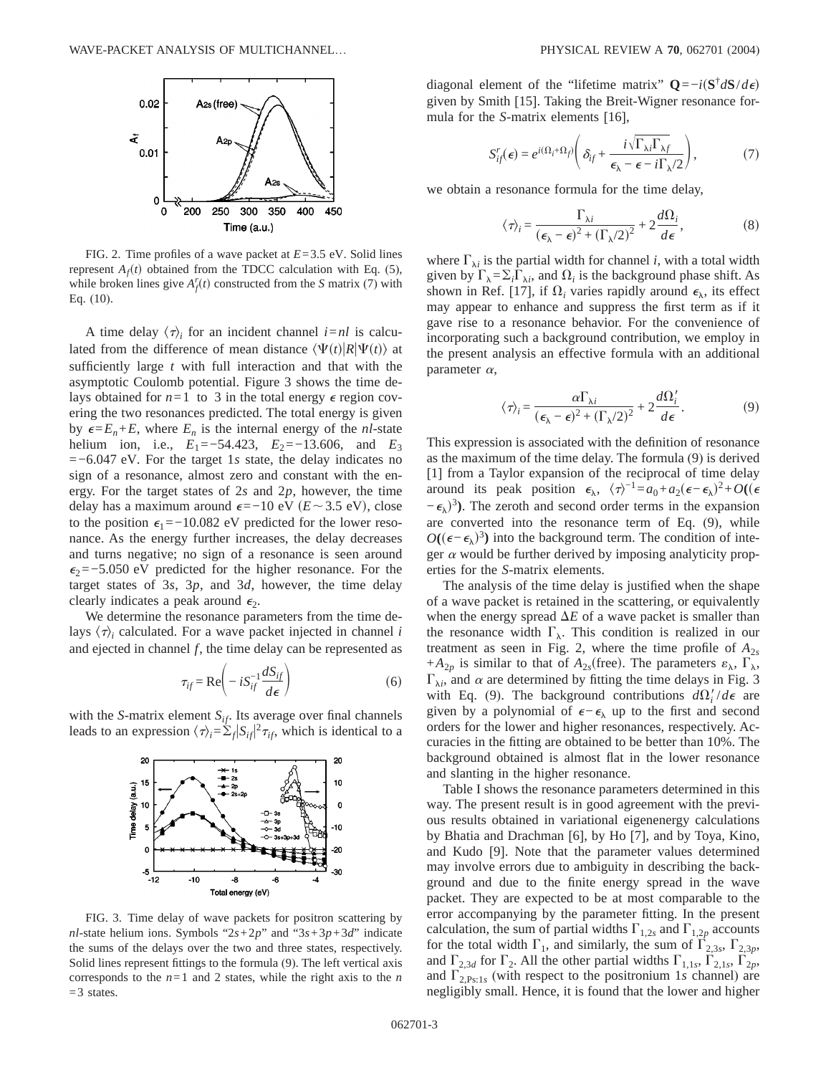

FIG. 2. Time profiles of a wave packet at *E*=3.5 eV. Solid lines represent  $A_f(t)$  obtained from the TDCC calculation with Eq. (5), while broken lines give  $A_f^r(t)$  constructed from the *S* matrix (7) with Eq. (10).

A time delay  $\langle \tau \rangle_i$  for an incident channel *i*=*nl* is calculated from the difference of mean distance  $\langle \Psi(t) | R | \Psi(t) \rangle$  at sufficiently large *t* with full interaction and that with the asymptotic Coulomb potential. Figure 3 shows the time delays obtained for  $n=1$  to 3 in the total energy  $\epsilon$  region covering the two resonances predicted. The total energy is given by  $\epsilon = E_n + E$ , where  $E_n$  is the internal energy of the *nl*-state helium ion, i.e.,  $E_1 = -54.423$ ,  $E_2 = -13.606$ , and  $E_3$ =−6.047 eV. For the target 1*s* state, the delay indicates no sign of a resonance, almost zero and constant with the energy. For the target states of 2*s* and 2*p*, however, the time delay has a maximum around  $\epsilon$ =−10 eV (*E*~3.5 eV), close to the position  $\epsilon_1$ =−10.082 eV predicted for the lower resonance. As the energy further increases, the delay decreases and turns negative; no sign of a resonance is seen around  $\epsilon_2$ =−5.050 eV predicted for the higher resonance. For the target states of 3*s*, 3*p*, and 3*d*, however, the time delay clearly indicates a peak around  $\epsilon_2$ .

We determine the resonance parameters from the time delays  $\langle \tau \rangle$  calculated. For a wave packet injected in channel *i* and ejected in channel *f*, the time delay can be represented as

$$
\tau_{if} = \text{Re}\left(-iS_{if}^{-1}\frac{dS_{if}}{d\epsilon}\right) \tag{6}
$$

with the *S*-matrix element  $S_{if}$ . Its average over final channels leads to an expression  $\langle \tau \rangle_i = \sum_f |S_{if}|^2 \tau_{if}$ , which is identical to a



FIG. 3. Time delay of wave packets for positron scattering by *nl*-state helium ions. Symbols " $2s+2p$ " and " $3s+3p+3d$ " indicate the sums of the delays over the two and three states, respectively. Solid lines represent fittings to the formula (9). The left vertical axis corresponds to the  $n=1$  and 2 states, while the right axis to the *n*  $=$  3 states.

diagonal element of the "lifetime matrix"  $Q = -i(S^{\dagger} dS/d\epsilon)$ given by Smith [15]. Taking the Breit-Wigner resonance formula for the *S*-matrix elements [16],

$$
S_{ij}^r(\epsilon) = e^{i(\Omega_i + \Omega_j)} \left( \delta_{ij} + \frac{i\sqrt{\Gamma_{\lambda i} \Gamma_{\lambda j}}}{\epsilon_{\lambda} - \epsilon - i\Gamma_{\lambda}/2} \right),
$$
 (7)

we obtain a resonance formula for the time delay,

$$
\langle \tau \rangle_i = \frac{\Gamma_{\lambda i}}{(\epsilon_{\lambda} - \epsilon)^2 + (\Gamma_{\lambda}/2)^2} + 2 \frac{d\Omega_i}{d\epsilon},
$$
 (8)

where  $\Gamma_{\lambda i}$  is the partial width for channel *i*, with a total width given by  $\Gamma_{\lambda} = \sum_i \Gamma_{\lambda i}$ , and  $\Omega_i$  is the background phase shift. As shown in Ref. [17], if  $\Omega_i$  varies rapidly around  $\epsilon_{\lambda}$ , its effect may appear to enhance and suppress the first term as if it gave rise to a resonance behavior. For the convenience of incorporating such a background contribution, we employ in the present analysis an effective formula with an additional parameter  $\alpha$ ,

$$
\langle \tau \rangle_i = \frac{\alpha \Gamma_{\lambda i}}{(\epsilon_{\lambda} - \epsilon)^2 + (\Gamma_{\lambda}/2)^2} + 2 \frac{d\Omega_i'}{d\epsilon}.
$$
 (9)

This expression is associated with the definition of resonance as the maximum of the time delay. The formula (9) is derived [1] from a Taylor expansion of the reciprocal of time delay around its peak position  $\epsilon_{\lambda}$ ,  $\langle \tau \rangle^{-1} = a_0 + a_2(\epsilon - \epsilon_{\lambda})^2 + O((\epsilon$  $(-\epsilon_{\lambda})^3$ ). The zeroth and second order terms in the expansion are converted into the resonance term of Eq. (9), while  $O((\epsilon - \epsilon_{\lambda})^3)$  into the background term. The condition of integer  $\alpha$  would be further derived by imposing analyticity properties for the *S*-matrix elements.

The analysis of the time delay is justified when the shape of a wave packet is retained in the scattering, or equivalently when the energy spread  $\Delta E$  of a wave packet is smaller than the resonance width  $\Gamma_{\lambda}$ . This condition is realized in our treatment as seen in Fig. 2, where the time profile of  $A_{2s}$ + $A_{2p}$  is similar to that of  $A_{2s}$ (free). The parameters  $\varepsilon_{\lambda}$ ,  $\Gamma_{\lambda}$ ,  $\Gamma_{\lambda i}$ , and  $\alpha$  are determined by fitting the time delays in Fig. 3 with Eq. (9). The background contributions  $d\Omega_i'/d\epsilon$  are given by a polynomial of  $\epsilon-\epsilon_\lambda$  up to the first and second orders for the lower and higher resonances, respectively. Accuracies in the fitting are obtained to be better than 10%. The background obtained is almost flat in the lower resonance and slanting in the higher resonance.

Table I shows the resonance parameters determined in this way. The present result is in good agreement with the previous results obtained in variational eigenenergy calculations by Bhatia and Drachman [6], by Ho [7], and by Toya, Kino, and Kudo [9]. Note that the parameter values determined may involve errors due to ambiguity in describing the background and due to the finite energy spread in the wave packet. They are expected to be at most comparable to the error accompanying by the parameter fitting. In the present calculation, the sum of partial widths  $\Gamma_{1,2s}$  and  $\Gamma_{1,2p}$  accounts for the total width  $\Gamma_1$ , and similarly, the sum of  $\Gamma_{2,3}$ ,  $\Gamma_{2,3p}$ , and  $\Gamma_{2,3d}$  for  $\Gamma_2$ . All the other partial widths  $\Gamma_{1,1s}$ ,  $\Gamma_{2,1s}$ ,  $\Gamma_{2p}$ , and  $\Gamma_{2,Ps;1s}$  (with respect to the positronium 1*s* channel) are negligibly small. Hence, it is found that the lower and higher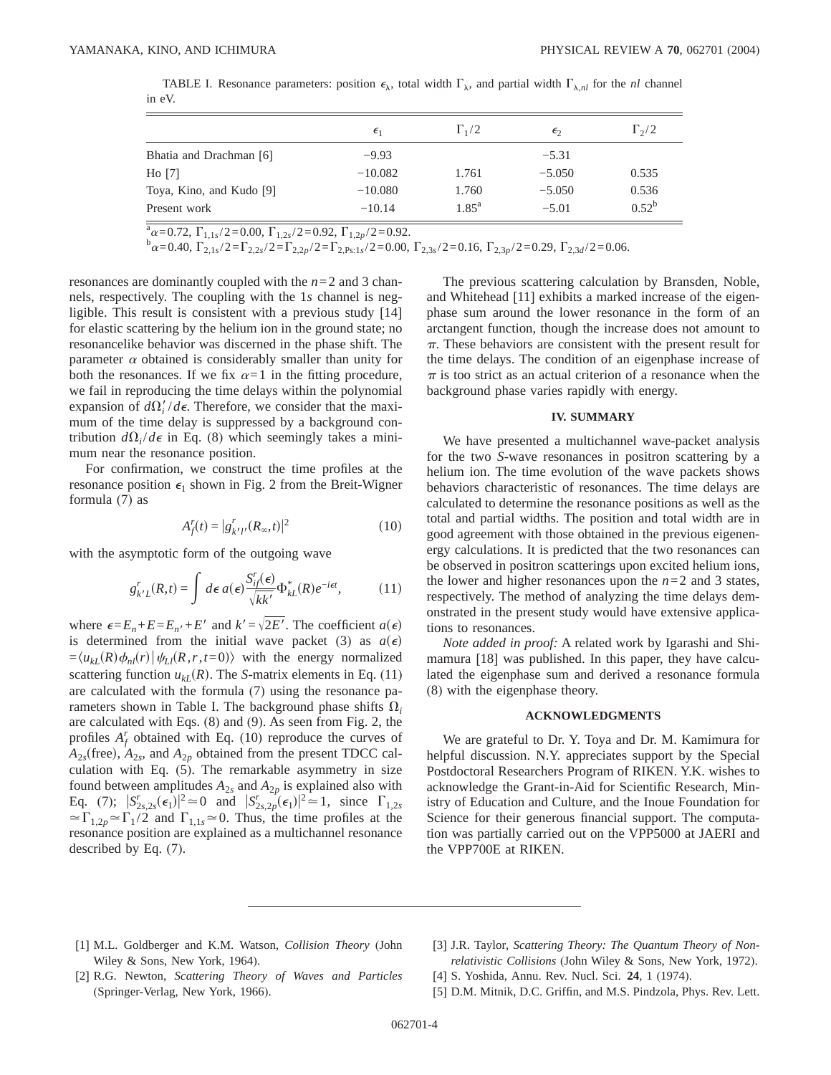|                          | $\epsilon_1$ | $\Gamma_1/2$   | $\epsilon$ | $\Gamma_2/2$ |
|--------------------------|--------------|----------------|------------|--------------|
| Bhatia and Drachman [6]  | $-9.93$      |                | $-5.31$    |              |
| H <sub>o</sub> [7]       | $-10.082$    | 1.761          | $-5.050$   | 0.535        |
| Toya, Kino, and Kudo [9] | $-10.080$    | 1.760          | $-5.050$   | 0.536        |
| Present work             | $-10.14$     | $1.85^{\rm a}$ | $-5.01$    | $0.52^b$     |

TABLE I. Resonance parameters: position  $\epsilon_{\lambda}$ , total width  $\Gamma_{\lambda}$ , and partial width  $\Gamma_{\lambda,nl}$  for the *nl* channel in eV.

 $\frac{\hbar}{\alpha} \alpha = 0.72, \ \Gamma_{1,1s}/2 = 0.00, \ \Gamma_{1,2s}/2 = 0.92, \ \Gamma_{1,2p}/2 = 0.92.$ <br>  $\frac{\hbar}{\alpha} \alpha = 0.40, \ \Gamma_{2,1s}/2 = \Gamma_{2,2s}/2 = \Gamma_{2,2p}/2 = \Gamma_{2,1s1s}/2 = 0.00, \ \Gamma_{2,3s}/2 = 0.16, \ \Gamma_{2,3p}/2 = 0.29, \ \Gamma_{2,3d}/2 = 0.06.$ 

resonances are dominantly coupled with the *n*=2 and 3 channels, respectively. The coupling with the 1*s* channel is negligible. This result is consistent with a previous study [14] for elastic scattering by the helium ion in the ground state; no resonancelike behavior was discerned in the phase shift. The parameter  $\alpha$  obtained is considerably smaller than unity for both the resonances. If we fix  $\alpha=1$  in the fitting procedure, we fail in reproducing the time delays within the polynomial expansion of  $d\Omega_i'/d\epsilon$ . Therefore, we consider that the maximum of the time delay is suppressed by a background contribution  $d\Omega_i/d\epsilon$  in Eq. (8) which seemingly takes a minimum near the resonance position.

For confirmation, we construct the time profiles at the resonance position  $\epsilon_1$  shown in Fig. 2 from the Breit-Wigner formula (7) as

$$
A'_{f}(t) = |g'_{k'l'}(R_{\infty}, t)|^{2}
$$
 (10)

with the asymptotic form of the outgoing wave

$$
g_{k'L}^r(R,t) = \int d\epsilon \, a(\epsilon) \frac{S_{if}^r(\epsilon)}{\sqrt{kk'}} \Phi_{kL}^*(R) e^{-i\epsilon t}, \tag{11}
$$

where  $\epsilon = E_n + E = E_{n'} + E'$  and  $k' = \sqrt{2E'}$ . The coefficient  $a(\epsilon)$ is determined from the initial wave packet (3) as  $a(\epsilon)$  $=\langle u_{kl}(R)\phi_{nl}(r) | \psi_{kl}(R,r,t=0) \rangle$  with the energy normalized scattering function  $u_{kl}(R)$ . The *S*-matrix elements in Eq. (11) are calculated with the formula (7) using the resonance parameters shown in Table I. The background phase shifts  $\Omega_i$ are calculated with Eqs. (8) and (9). As seen from Fig. 2, the profiles  $A_f^r$  obtained with Eq. (10) reproduce the curves of  $A_{2s}$ (free),  $A_{2s}$ , and  $A_{2p}$  obtained from the present TDCC calculation with Eq. (5). The remarkable asymmetry in size found between amplitudes  $A_{2s}$  and  $A_{2p}$  is explained also with Eq. (7);  $|S_{2s,2s}^r(\epsilon_1)|^2 \approx 0$  and  $|S_{2s,2p}^r(\epsilon_1)|^2 \approx 1$ , since  $\Gamma_{1,2s}$  $\Gamma_{1,2p} \simeq \Gamma_1/2$  and  $\Gamma_{1,1s} \simeq 0$ . Thus, the time profiles at the resonance position are explained as a multichannel resonance described by Eq. (7).

The previous scattering calculation by Bransden, Noble, and Whitehead [11] exhibits a marked increase of the eigenphase sum around the lower resonance in the form of an arctangent function, though the increase does not amount to  $\pi$ . These behaviors are consistent with the present result for the time delays. The condition of an eigenphase increase of  $\pi$  is too strict as an actual criterion of a resonance when the background phase varies rapidly with energy.

## **IV. SUMMARY**

We have presented a multichannel wave-packet analysis for the two *S*-wave resonances in positron scattering by a helium ion. The time evolution of the wave packets shows behaviors characteristic of resonances. The time delays are calculated to determine the resonance positions as well as the total and partial widths. The position and total width are in good agreement with those obtained in the previous eigenenergy calculations. It is predicted that the two resonances can be observed in positron scatterings upon excited helium ions, the lower and higher resonances upon the  $n=2$  and 3 states, respectively. The method of analyzing the time delays demonstrated in the present study would have extensive applications to resonances.

*Note added in proof:* A related work by Igarashi and Shimamura [18] was published. In this paper, they have calculated the eigenphase sum and derived a resonance formula (8) with the eigenphase theory.

#### **ACKNOWLEDGMENTS**

We are grateful to Dr. Y. Toya and Dr. M. Kamimura for helpful discussion. N.Y. appreciates support by the Special Postdoctoral Researchers Program of RIKEN. Y.K. wishes to acknowledge the Grant-in-Aid for Scientific Research, Ministry of Education and Culture, and the Inoue Foundation for Science for their generous financial support. The computation was partially carried out on the VPP5000 at JAERI and the VPP700E at RIKEN.

- [1] M.L. Goldberger and K.M. Watson, *Collision Theory* (John Wiley & Sons, New York, 1964).
- [3] J.R. Taylor, *Scattering Theory: The Quantum Theory of Nonrelativistic Collisions* (John Wiley & Sons, New York, 1972).
- [2] R.G. Newton, *Scattering Theory of Waves and Particles* (Springer-Verlag, New York, 1966).
- [5] D.M. Mitnik, D.C. Griffin, and M.S. Pindzola, Phys. Rev. Lett.

[4] S. Yoshida, Annu. Rev. Nucl. Sci. **24**, 1 (1974).